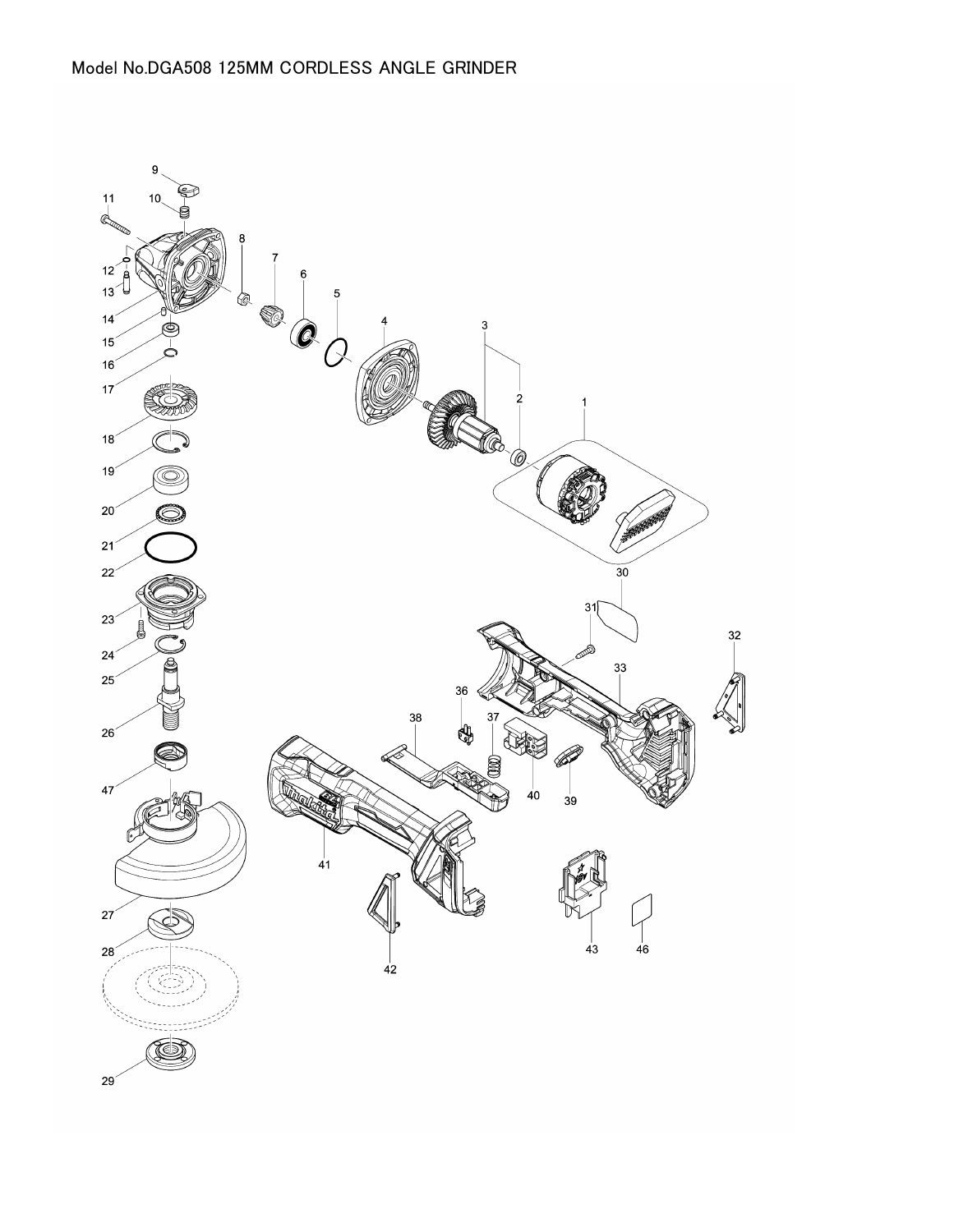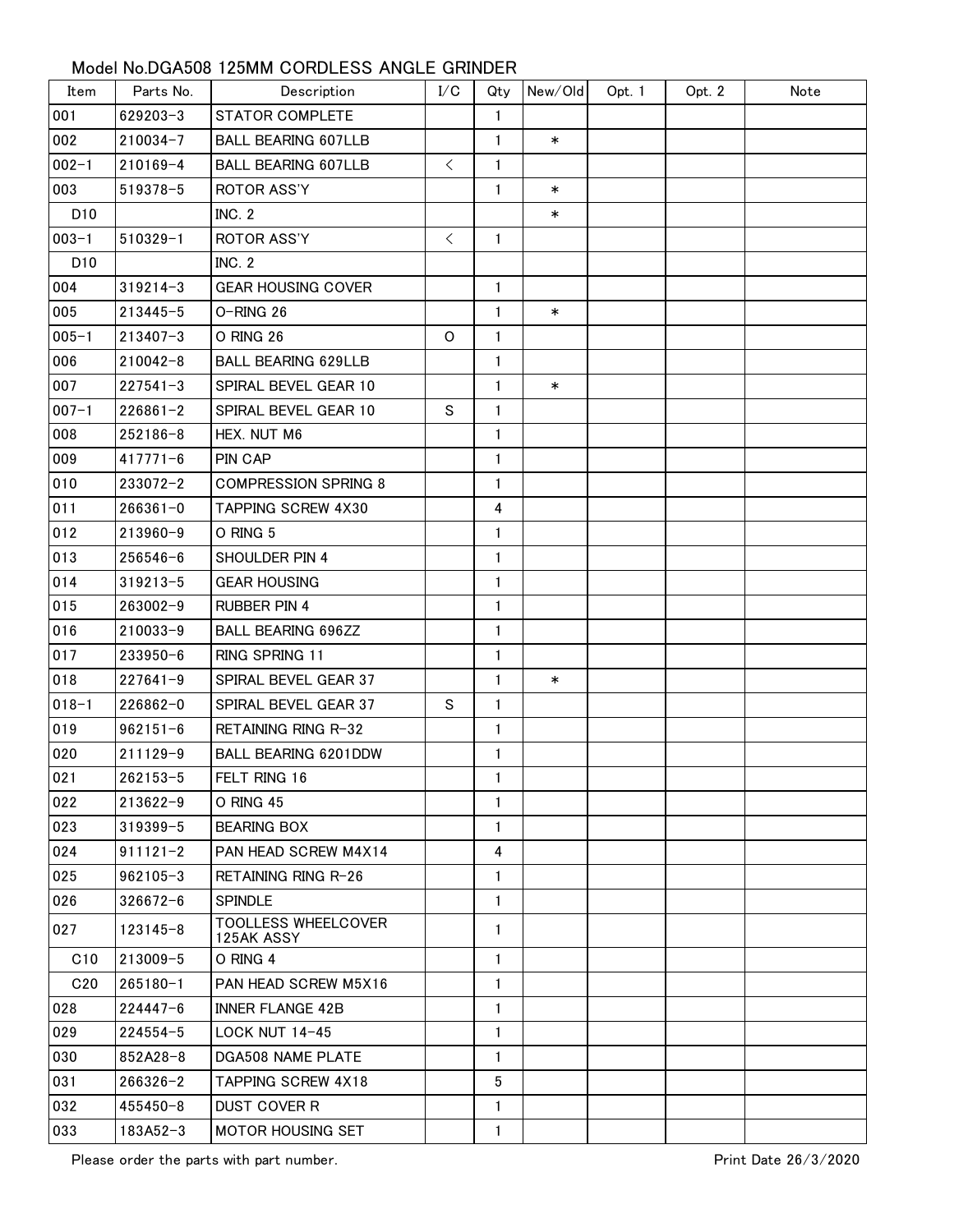## Model No.DGA508 125MM CORDLESS ANGLE GRINDER

| Item            | Parts No.    | Description                              | I/C       | Qty          | New/Old | Opt. 1 | Opt. 2 | Note |
|-----------------|--------------|------------------------------------------|-----------|--------------|---------|--------|--------|------|
| 001             | 629203-3     | <b>STATOR COMPLETE</b>                   |           | 1            |         |        |        |      |
| 002             | 210034-7     | <b>BALL BEARING 607LLB</b>               |           | $\mathbf{1}$ | $\ast$  |        |        |      |
| $002 - 1$       | $210169 - 4$ | <b>BALL BEARING 607LLB</b>               | $\lt$     | 1            |         |        |        |      |
| 003             | 519378-5     | <b>ROTOR ASS'Y</b>                       |           | $\mathbf{1}$ | $\ast$  |        |        |      |
| D <sub>10</sub> |              | INC. 2                                   |           |              | $\ast$  |        |        |      |
| $003 - 1$       | $510329 - 1$ | <b>ROTOR ASS'Y</b>                       | $\langle$ | $\mathbf{1}$ |         |        |        |      |
| D <sub>10</sub> |              | <b>INC. 2</b>                            |           |              |         |        |        |      |
| 004             | $319214 - 3$ | <b>GEAR HOUSING COVER</b>                |           | $\mathbf{1}$ |         |        |        |      |
| 005             | $213445 - 5$ | O-RING 26                                |           | $\mathbf{1}$ | $\ast$  |        |        |      |
| $005 - 1$       | 213407-3     | O RING 26                                | O         | $\mathbf{1}$ |         |        |        |      |
| 006             | $210042 - 8$ | <b>BALL BEARING 629LLB</b>               |           | 1            |         |        |        |      |
| 007             | $227541 - 3$ | SPIRAL BEVEL GEAR 10                     |           | 1            | $\ast$  |        |        |      |
| $007 - 1$       | $226861 - 2$ | SPIRAL BEVEL GEAR 10                     | S         | 1            |         |        |        |      |
| 008             | 252186-8     | HEX. NUT M6                              |           | 1            |         |        |        |      |
| 009             | $417771 - 6$ | PIN CAP                                  |           | 1            |         |        |        |      |
| 010             | 233072-2     | <b>COMPRESSION SPRING 8</b>              |           | $\mathbf{1}$ |         |        |        |      |
| 011             | $266361 - 0$ | TAPPING SCREW 4X30                       |           | 4            |         |        |        |      |
| 012             | 213960-9     | O RING 5                                 |           | $\mathbf{1}$ |         |        |        |      |
| 013             | $256546 - 6$ | SHOULDER PIN 4                           |           | 1            |         |        |        |      |
| 014             | $319213 - 5$ | <b>GEAR HOUSING</b>                      |           | 1            |         |        |        |      |
| 015             | 263002-9     | <b>RUBBER PIN 4</b>                      |           | 1            |         |        |        |      |
| 016             | $210033 - 9$ | <b>BALL BEARING 696ZZ</b>                |           | 1            |         |        |        |      |
| 017             | 233950-6     | RING SPRING 11                           |           | 1            |         |        |        |      |
| 018             | $227641 - 9$ | SPIRAL BEVEL GEAR 37                     |           | $\mathbf{1}$ | $\ast$  |        |        |      |
| $018 - 1$       | $226862 - 0$ | SPIRAL BEVEL GEAR 37                     | S         | 1            |         |        |        |      |
| 019             | $962151 - 6$ | RETAINING RING R-32                      |           | 1            |         |        |        |      |
| 020             | 211129-9     | BALL BEARING 6201DDW                     |           | 1            |         |        |        |      |
| 021             | 262153-5     | FELT RING 16                             |           | $\mathbf{1}$ |         |        |        |      |
| 022             | $213622 - 9$ | O RING 45                                |           | 1            |         |        |        |      |
| 023             | $319399 - 5$ | <b>BEARING BOX</b>                       |           | 1            |         |        |        |      |
| 024             | $911121 - 2$ | PAN HEAD SCREW M4X14                     |           | 4            |         |        |        |      |
| 025             | $962105 - 3$ | RETAINING RING R-26                      |           | $\mathbf{1}$ |         |        |        |      |
| 026             | $326672 - 6$ | <b>SPINDLE</b>                           |           | 1            |         |        |        |      |
| 027             | $123145 - 8$ | <b>TOOLLESS WHEELCOVER</b><br>125AK ASSY |           | 1            |         |        |        |      |
| C10             | $213009 - 5$ | O RING 4                                 |           | 1            |         |        |        |      |
| C <sub>20</sub> | $265180 - 1$ | PAN HEAD SCREW M5X16                     |           | 1            |         |        |        |      |
| 028             | $224447 - 6$ | <b>INNER FLANGE 42B</b>                  |           | 1            |         |        |        |      |
| 029             | $224554 - 5$ | LOCK NUT 14-45                           |           | 1            |         |        |        |      |
| 030             | $852A28-8$   | <b>DGA508 NAME PLATE</b>                 |           | 1            |         |        |        |      |
| 031             | $266326 - 2$ | <b>TAPPING SCREW 4X18</b>                |           | 5            |         |        |        |      |
| 032             | 455450-8     | <b>DUST COVER R</b>                      |           | 1            |         |        |        |      |
| 033             | $183A52 - 3$ | MOTOR HOUSING SET                        |           | 1            |         |        |        |      |

Please order the parts with part number.<br>
Print Date 26/3/2020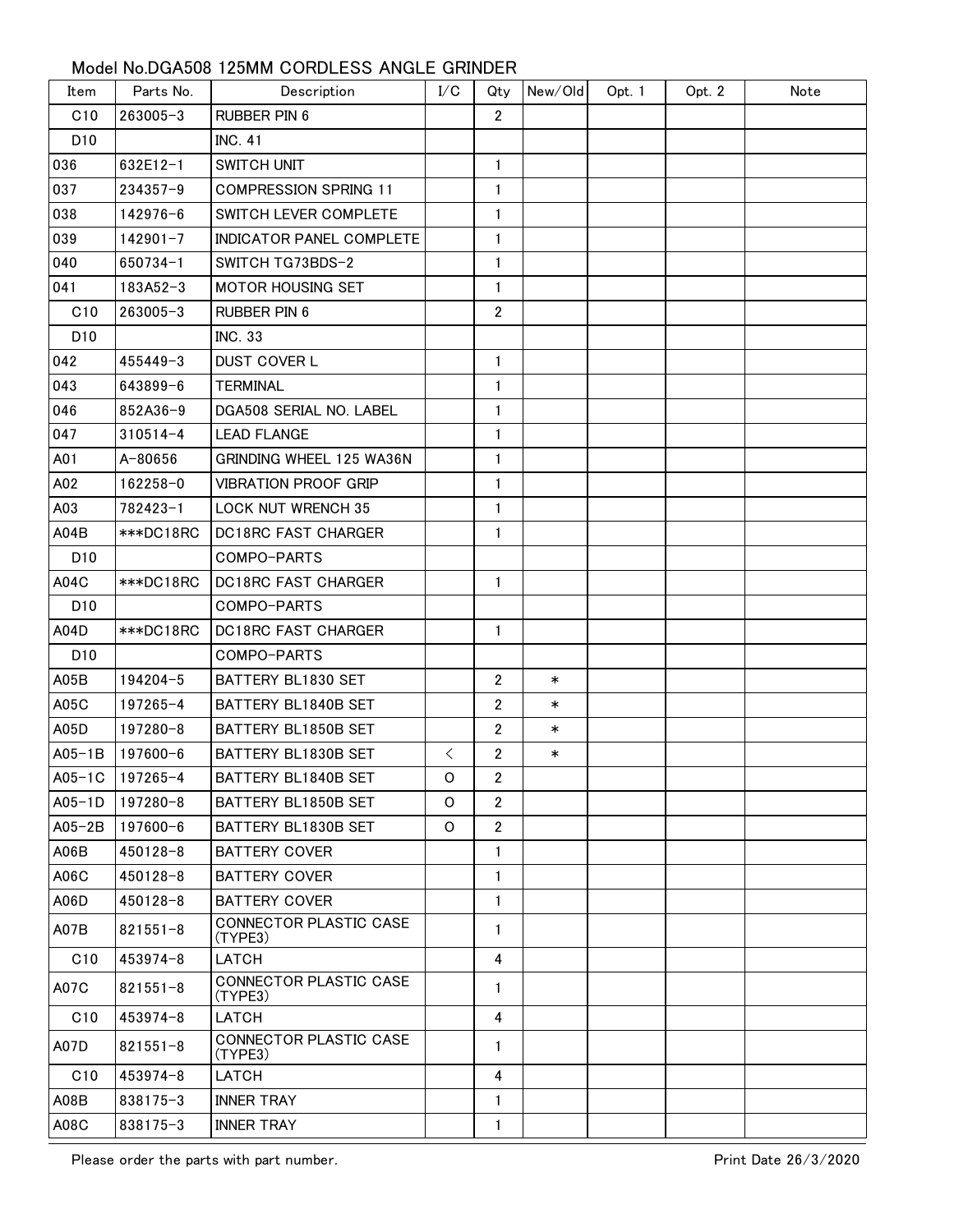## Model No.DGA508 125MM CORDLESS ANGLE GRINDER

| Item            | Parts No.       | Description                              | I/C         | Qty            | New/Old | Opt. 1 | Opt. 2 | Note |
|-----------------|-----------------|------------------------------------------|-------------|----------------|---------|--------|--------|------|
| C10             | $263005 - 3$    | <b>RUBBER PIN 6</b>                      |             | $\overline{2}$ |         |        |        |      |
| D <sub>10</sub> |                 | <b>INC. 41</b>                           |             |                |         |        |        |      |
| 036             | 632E12-1        | <b>SWITCH UNIT</b>                       |             | 1              |         |        |        |      |
| 037             | 234357-9        | <b>COMPRESSION SPRING 11</b>             |             | 1              |         |        |        |      |
| 038             | 142976-6        | SWITCH LEVER COMPLETE                    |             | 1              |         |        |        |      |
| 039             | $142901 - 7$    | INDICATOR PANEL COMPLETE                 |             | 1              |         |        |        |      |
| 040             | 650734-1        | SWITCH TG73BDS-2                         |             | $\mathbf{1}$   |         |        |        |      |
| 041             | 183A52-3        | <b>MOTOR HOUSING SET</b>                 |             | 1              |         |        |        |      |
| C10             | $263005 - 3$    | <b>RUBBER PIN 6</b>                      |             | $\overline{2}$ |         |        |        |      |
| D <sub>10</sub> |                 | <b>INC. 33</b>                           |             |                |         |        |        |      |
| 042             | $455449 - 3$    | <b>DUST COVER L</b>                      |             | $\mathbf{1}$   |         |        |        |      |
| 043             | 643899-6        | <b>TERMINAL</b>                          |             | 1              |         |        |        |      |
| 046             | 852A36-9        | DGA508 SERIAL NO. LABEL                  |             | $\mathbf{1}$   |         |        |        |      |
| 047             | $310514 - 4$    | <b>LEAD FLANGE</b>                       |             | 1              |         |        |        |      |
| A01             | A-80656         | GRINDING WHEEL 125 WA36N                 |             | $\mathbf{1}$   |         |        |        |      |
| A02             | 162258-0        | <b>VIBRATION PROOF GRIP</b>              |             | 1              |         |        |        |      |
| A03             | 782423-1        | <b>LOCK NUT WRENCH 35</b>                |             | $\mathbf{1}$   |         |        |        |      |
| A04B            | ***DC18RC       | <b>DC18RC FAST CHARGER</b>               |             | 1              |         |        |        |      |
| D <sub>10</sub> |                 | COMPO-PARTS                              |             |                |         |        |        |      |
| A04C            | ***DC18RC       | <b>DC18RC FAST CHARGER</b>               |             | $\mathbf{1}$   |         |        |        |      |
| D <sub>10</sub> |                 | COMPO-PARTS                              |             |                |         |        |        |      |
| A04D            | ***DC18RC       | DC18RC FAST CHARGER                      |             | 1              |         |        |        |      |
| D <sub>10</sub> |                 | COMPO-PARTS                              |             |                |         |        |        |      |
| A05B            | 194204-5        | BATTERY BL1830 SET                       |             | $\overline{2}$ | $\ast$  |        |        |      |
| A05C            | 197265-4        | BATTERY BL1840B SET                      |             | $\overline{2}$ | $\ast$  |        |        |      |
| A05D            | 197280-8        | BATTERY BL1850B SET                      |             | $\mathbf{2}$   | $\ast$  |        |        |      |
| $A05-1B$        | $197600 - 6$    | BATTERY BL1830B SET                      | $\lt$       | 2              | $\ast$  |        |        |      |
|                 | A05-1C 197265-4 | BATTERY BL1840B SET                      | $\mathsf O$ | $\overline{2}$ |         |        |        |      |
| $AD5-1D$        | 197280-8        | BATTERY BL1850B SET                      | O           | $\overline{2}$ |         |        |        |      |
| $A05-2B$        | 197600-6        | BATTERY BL1830B SET                      | O           | $\overline{2}$ |         |        |        |      |
| A06B            | $450128 - 8$    | <b>BATTERY COVER</b>                     |             | $\mathbf{1}$   |         |        |        |      |
| A06C            | $450128 - 8$    | <b>BATTERY COVER</b>                     |             | 1              |         |        |        |      |
| A06D            | $450128 - 8$    | <b>BATTERY COVER</b>                     |             | $\mathbf{1}$   |         |        |        |      |
| A07B            | $821551 - 8$    | CONNECTOR PLASTIC CASE<br>(TYPE3)        |             | $\mathbf{1}$   |         |        |        |      |
| C10             | $453974 - 8$    | LATCH                                    |             | 4              |         |        |        |      |
| A07C            | $821551 - 8$    | CONNECTOR PLASTIC CASE<br>(TYPE3)        |             | 1              |         |        |        |      |
| C10             | $453974 - 8$    | LATCH                                    |             | 4              |         |        |        |      |
| A07D            | $821551 - 8$    | <b>CONNECTOR PLASTIC CASE</b><br>(TYPE3) |             | $\mathbf{1}$   |         |        |        |      |
| C10             | 453974-8        | LATCH                                    |             | 4              |         |        |        |      |
| A08B            | 838175-3        | <b>INNER TRAY</b>                        |             | 1              |         |        |        |      |
| A08C            | 838175-3        | <b>INNER TRAY</b>                        |             | 1              |         |        |        |      |

Please order the parts with part number.<br>
Print Date 26/3/2020